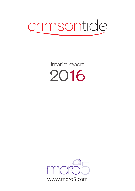

interim report 2016

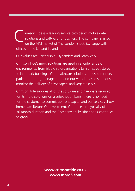rimson Tide is a leading service provider of mobile data solutions and software for business. The company is listed on the AIM market of The London Stock Exchange with offices in the UK and Ireland C

Our values are Partnership, Dynamism and Teamwork.

Crimson Tide's mpro solutions are used in a wide range of environments, from blue chip organisations to high street stores to landmark buildings. Our healthcare solutions are used for nurse, patient and drug management and our vehicle based solutions monitor the delivery of newspapers and vegetable oils.

Crimson Tide supplies all of the software and hardware required for its mpro solutions on a subscription basis, there is no need for the customer to commit up front capital and our services show immediate Return On Investment. Contracts are typically of 36 month duration and the Company's subscriber book continues to grow.

> **www.crimsontide.co.uk www.mpro5.com**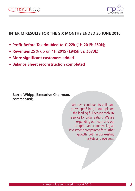

# **INTERIM RESULTS FOR THE SIX MONTHS ENDED 30 JUNE 2016**

- **• Profit Before Tax doubled to £122k (1H 2015: £60k);**
- **• Revenues 25% up on 1H 2015 (£845k vs. £673k)**
- **• More significant customers added**
- **• Balance Sheet reconstruction completed**

**Barrie Whipp, Executive Chairman, commented;**

> We have continued to build and grow mpro5 into, in our opinion, the leading full service mobility service for organisations.We are expanding our team and our footprint and commencing an investment programme for further growth, both in our existing markets and overseas.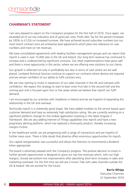# **CHAIRMAN'S STATEMENT**

I am very pleased to report on the Company's progress for the first half of 2016. Once again, we exceeded all of our key indicators and of particular note, Profit after Tax for the period increased by 100% to £122k on increased turnover. We have achieved record subscriber numbers but our most recent contract wins are enterprise level agreements which place less relevance on user numbers and more on net revenues.

We have consolidated agreements with leading facilities management groups and can report that mpro5 is used in over 15,000 sites in the UK and Ireland. Our long term revenue has continued to increase and is underpinned by significant contracts. Our retail implementations have gone well and there is more opportunity in this sector, where we are offering new solutions to our clients.

Our growth is reflected not only in profitability but also in terms of cash where we are well placed. Lombard Technical Services continue to support our contracts where devices are required and we remain confident of our ability to fulfil contract wins.

We are now starting to invest in expansion of our sales channels in the UK and overseas with confidence. We expect this strategy to start to bear more fruit late in the second half and the coming year and is focused upon four or five areas where we believe that mpro5 can fulfil demand.

I am encouraged by our activities with Vodafone in Ireland and we are hopeful of expanding this relationship in the UK and overseas.

Technically mpro5 is in extremely good shape. We have added modules to the service based upon customer demand and have an extremely high satisfaction rating. We are currently working on a significant platform change for the mobile application investing in the latest Angular 2 framework. We are also adding Internet of Things capabilities into mpro5 and have a new proprietary alerting platform, which has replaced a third party product, thereby increasing margins further.

In the healthcare world, we are progressing with a range of transactions and are hopeful of further news soon. There is little doubt that pharma offers enormous opportunities for mpro5.

Our capital reorganisation was successful and allows the Directors to recommend a dividend when appropriate.

The board is extremely pleased with the Company's progress. The positive decision to invest in further growth opportunities is designed to grow our top line revenues which, with our high margins, should see bottom line improvements after absorbing short term increases in sales and marketing overhead. For the first time we will see Crimson Tide with sales channels outside the UK & Ireland. We are excited for the future.

**Barrie Whipp**

Executive Chairman 22 September 2016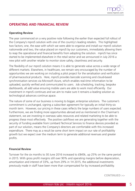

## **OPERATING AND FINANCIAL REVIEW**

#### **Operating Review**

The year commenced on a very positive note following the earlier than expected full rollout of the Company's mpro5 solution with one of the country's leading retailers. This highlighted two factors; one, the ease with which we were able to organise and install our mpro5 solution nationwide and two, the value placed on mpro5 by our customers, immediately allowing them to reap the operational and financial benefits from adopting the solution. mpro5 has since started to be implemented elsewhere in the retail sector and we announced in July 2016 a new pilot with another retailer to monitor store safety, cleanliness and security.

The flexibility of our mpro5 solution means it is able to generate value across a wide range of different markets. Elsewhere, in healthcare, we remain very encouraged by the number of opportunities we are working on including a pilot project for the serialisation and verification of pharmaceutical products. Here, mpro5 provides barcode scanning and cloud*‐*based synchronisation services via Microsoft Azure, which enables real*‐*time information to be uploaded, quickly verified and communicated to users. Job scheduling, tracking, bespoke dashboards, all add value ensuring mobile users are able to work most efficiently. Our investment in mpro5 continues and we aim to make sure it remains a leading solution as technological advances continue apace.

The nature of some of our business is moving to bigger, enterprise solutions. The customer's commitment is unchanged, signing a subscriber agreement for typically an initial thirty-six month term. However, our pricing in these cases reflects the large numbers of users expected. Furthermore, we are finding more opportunities abroad and as mentioned in the Chairman's statement, we are investing in overseas sales resources and related marketing to be able to progress these most effectively. The positive cashflows we are generating together with the security of funding available from Lombard Technical Services to finance devices provided as part of our solution, means the Company's directors are comfortable with this increased expenditure. There may as a result be some short term impact on our rate of profitability growth but we expect over the medium term to generate additional revenues and greater profits.

#### **Financial Review**

Turnover for the six months to 30 June 2016 increased to £845k, up 25% on the same period in 2015. With gross profit margins still over 90% and operating margins before depreciation, amortisation and interest of 33%, up from 29% in 1H 2015, the additional investments previously made in staff have been more than compensated for by increased profitability.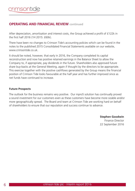## **OPERATING AND FINANCIAL REVIEW continued**

After depreciation, amortisation and interest costs, the Group achieved a profit of £122k in the first half 2016 (1H 2015: £60k).

There have been no changes to Crimson Tide's accounting policies which can be found in the notes to the published 2015 Consolidated Financial Statements available on our website, www.crimsontide.co.uk.

It should be noted, however, that early in 2016, the Company completed its capital reconstruction and now has positive retained earnings in the Balance Sheet to allow the Company to, if appropriate, pay dividends in the future. Shareholders also approved future share buy-backs at the General Meeting, again if thought by the directors to be appropriate. This exercise together with the positive cashflows generated by the Group means the financial position of Crimson Tide looks favourable at the half year and has further improved since as net funds have continued to increase.

#### **Future Prospects**

The outlook for the business remains very positive. Our mpro5 solution has continually proved a sound investment for our customers even as these customers have become more sizable and/or more geographically spread. The Board and team at Crimson Tide are working hard on behalf of shareholders to ensure that our reputation and success continue to advance.

**Stephen Goodwin**

Finance Director 22 September 2016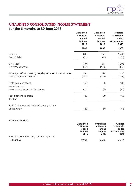

# **UNAUDITED CONSOLIDATED INCOME STATEMENT**

## **for the 6 months to 30 June 2016**

|                                                                     | <b>Unaudited</b><br>6 Months<br>ended<br>30 June<br>2016 | <b>Unaudited</b><br>6 Months<br>ended<br>30 June<br>2015 | <b>Audited</b><br>12 Months<br>ended<br>31 December<br>2015 |
|---------------------------------------------------------------------|----------------------------------------------------------|----------------------------------------------------------|-------------------------------------------------------------|
|                                                                     | £000                                                     | £000                                                     | £000                                                        |
| Revenue                                                             | 845                                                      | 673                                                      | 1,402                                                       |
| Cost of Sales                                                       | (71)                                                     | (62)                                                     | (104)                                                       |
| <b>Gross Profit</b>                                                 | 774                                                      | 611                                                      | 1,298                                                       |
| Overhead expenses                                                   | (493)                                                    | (413)                                                    | (868)                                                       |
| Earnings before interest, tax, depreciation & amortisation          | 281                                                      | 198                                                      | 430                                                         |
| Depreciation & Amortisation                                         | (142)                                                    | (132)                                                    | (245)                                                       |
| Profit from operations                                              | 139                                                      | 66                                                       | 185                                                         |
| Interest income<br>Interest payable and similar charges             | (17)                                                     | (6)                                                      | (17)                                                        |
| Profit before taxation<br>Taxation                                  | 122                                                      | 60                                                       | 168                                                         |
|                                                                     |                                                          |                                                          |                                                             |
| Profit for the year attributable to equity holders<br>of the parent | 122                                                      | 60                                                       | 168                                                         |
|                                                                     |                                                          |                                                          |                                                             |

#### Earnings per share

|                                               | <b>Unaudited</b>  | <b>Unaudited</b>  | <b>Audited</b>    |
|-----------------------------------------------|-------------------|-------------------|-------------------|
|                                               | 6 Months          | 6 Months          | 12 Months         |
|                                               | ended             | ended             | ended             |
|                                               | 30 June           | 30 June           | 31 December       |
|                                               | 2016              | 2015              | 2015              |
| Basic and diluted earnings per Ordinary Share |                   |                   |                   |
| (see Note 2)                                  | 0.03 <sub>D</sub> | 0.01 <sub>D</sub> | 0.04 <sub>D</sub> |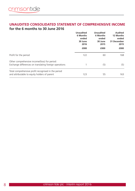### **UNAUDITED CONSOLIDATED STATEMENT OF COMPREHENSIVE INCOME for the 6 months to 30 June 2016**

|                                                                                                         | <b>Unaudited</b><br>6 Months<br>ended<br>30 June<br>2016 | <b>Unaudited</b><br>6 Months<br>ended<br>30 June<br>2015 |      |  |  |  | Audited<br>12 Months<br>ended<br>31 December<br>2015 |
|---------------------------------------------------------------------------------------------------------|----------------------------------------------------------|----------------------------------------------------------|------|--|--|--|------------------------------------------------------|
|                                                                                                         | £000                                                     | £000                                                     | £000 |  |  |  |                                                      |
| Profit for the period                                                                                   | 122                                                      | 60                                                       | 168  |  |  |  |                                                      |
| Other comprehensive income/(loss) for period:<br>Exchange differences on translating foreign operations |                                                          | (5)                                                      | (5)  |  |  |  |                                                      |
| Total comprehensive profit recognised in the period<br>and attributable to equity holders of parent     | 123                                                      | 55                                                       | 163  |  |  |  |                                                      |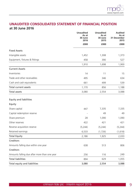

## **UNAUDITED CONSOLIDATED STATEMENT OF FINANCIAL POSITION at 30 June 2016**

|                                              | <b>Unaudited</b><br>As at<br>30 June<br>2016 | <b>Unaudited</b><br>As at<br>30 June<br>2015 | <b>Audited</b><br>As at<br>31 December<br>2015 |
|----------------------------------------------|----------------------------------------------|----------------------------------------------|------------------------------------------------|
|                                              | £000                                         | £000                                         | £000                                           |
| <b>Fixed Assets</b>                          |                                              |                                              |                                                |
| Intangible assets                            | 1,452                                        | 1,308                                        | 1,373                                          |
| Equipment, fixtures & fittings               | 458                                          | 390                                          | 527                                            |
|                                              | 1,910                                        | 1,698                                        | 1,900                                          |
| <b>Current Assets</b>                        |                                              |                                              |                                                |
| Inventories                                  | 14                                           | 11                                           | 15                                             |
| Trade and other receivables                  | 495                                          | 346                                          | 634                                            |
| Cash and cash equivalents                    | 661                                          | 499                                          | 539                                            |
| <b>Total current assets</b>                  | 1,170                                        | 856                                          | 1,188                                          |
| Total assets                                 | 3,080                                        | 2,554                                        | 3,088                                          |
| <b>Equity and liabilities</b>                |                                              |                                              |                                                |
| Equity                                       |                                              |                                              |                                                |
| Share capital                                | 447                                          | 7,335                                        | 7,335                                          |
| Capital redemption reserve                   |                                              | 49                                           | 49                                             |
| Share premium                                | 28                                           | 1,090                                        | 1,090                                          |
| Other reserves                               | 422                                          | 421                                          | 421                                            |
| Reverse acquisition reserve                  | (5, 244)                                     | (5, 244)                                     | (5, 244)                                       |
| Retained earnings                            | 6,533                                        | (1,726)                                      | (1,618)                                        |
| <b>Total Equity</b>                          | 2,186                                        | 1,925                                        | 2,033                                          |
| Creditors                                    |                                              |                                              |                                                |
| Amounts falling due within one year          | 638                                          | 513                                          | 806                                            |
| Creditors                                    |                                              |                                              |                                                |
| Amounts falling due after more than one year | 256                                          | 116                                          | 249                                            |
| <b>Total liabilities</b>                     | 894                                          | 629                                          | 1,055                                          |
| Total equity and liabilities                 | 3,080                                        | 2,554                                        | 3,088                                          |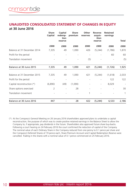#### **UNAUDITED CONSOLIDATED STATEMENT OF CHANGES IN EQUITY at 30 June 2016**

|                             | <b>Share</b><br>Capital  | Capital<br>redemp-<br>tion | <b>Share</b><br>premium | Other<br>reserves | Reverse<br>acquis-<br>ition | <b>Retained</b><br>earnings |                          |
|-----------------------------|--------------------------|----------------------------|-------------------------|-------------------|-----------------------------|-----------------------------|--------------------------|
|                             |                          | reserve                    |                         |                   | reserve                     |                             | Total                    |
|                             | £000                     | £000                       | £000                    | £000              | £000                        | £000                        | £000                     |
| Balance at 31 December 2014 | 7,335                    | 49                         | 1,090                   | 426               | (5,244)                     | (1,786)                     | 1,870                    |
| Profit for the period       |                          |                            |                         |                   |                             | 60                          | 60                       |
| Translation movement        |                          |                            |                         | (5)               |                             |                             | (5)                      |
| Balance at 30 June 2015     | 7,335                    | 49                         | 1,090                   | 421               | (5,244)                     | (1,726)                     | 1,925                    |
| Balance at 31 December 2015 | 7,335                    | 49                         | 1,090                   | 421               | (5,244)                     | (1,618)                     | 2,033                    |
| Profit for the period       | $\overline{\phantom{a}}$ | -                          |                         |                   |                             | 122                         | 122                      |
| Capital reconstruction (*)  | (6,890)                  | (49)                       | (1,090)                 |                   | -                           | 8,029                       | $\overline{\phantom{a}}$ |
| Share options exercised     | $\overline{2}$           |                            | 28                      |                   |                             |                             | 30                       |
| Translation movement        |                          |                            |                         | 1                 |                             |                             | 1                        |
| Balance at 30 June 2016     | 447                      |                            | 28                      | 422               | (5, 244)                    | 6,533                       | 2,186                    |

(\*) At the Company's General Meeting on 26 January 2016 shareholders approved plans to undertake a capital reconstruction, the purpose of which was to create positive retained earnings in the Balance Sheet to allow the Company to, if appropriate, pay dividends in the future. Shareholders also approved future share buy-backs. Following a court hearing on 24 February 2016 the court confirmed the reduction of capital of the Company. The nominal value of each Ordinary Share in the Company reduced from one penny to 0.1 pence per share and the Company's Deferred Shares of 19 pence each, Share Premium Account and Capital Redemption Reserve were cancelled. Trading in the shares with a nominal value of 0.1 pence commenced on 25 February 2016.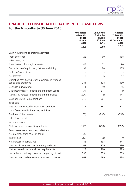

## **UNAUDITED CONSOLIDATED STATEMENT OF CASHFLOWS**

## **for the 6 months to 30 June 2016**

|                                                                           | <b>Unaudited</b><br>6 Months<br>ended<br>30 June<br>2016 | <b>Unaudited</b><br>6 Months<br>ended<br>30 June<br>2015 | <b>Audited</b><br>12 Months<br>ended<br>31 December<br>2015 |
|---------------------------------------------------------------------------|----------------------------------------------------------|----------------------------------------------------------|-------------------------------------------------------------|
|                                                                           | £000                                                     | £000                                                     | £000                                                        |
| Cash flows from operating activities                                      |                                                          |                                                          |                                                             |
| Profit before tax                                                         | 122                                                      | 60                                                       | 168                                                         |
| Adjustments for:                                                          |                                                          |                                                          |                                                             |
| Amortisation of Intangible Assets                                         | 48                                                       | 52                                                       | 90                                                          |
| Depreciation of equipment, fixtures and fittings                          | 94                                                       | 80                                                       | 155                                                         |
| Profit on Sale of Assets                                                  |                                                          |                                                          |                                                             |
| Net Interest                                                              | 17                                                       | 6                                                        | 17                                                          |
| Operating cash flows before movement in working<br>capital and provisions | 281                                                      | 198                                                      | 430                                                         |
| Decrease in inventories                                                   | 1                                                        | 19                                                       | 15                                                          |
| Decrease/(increase) in trade and other receivables                        | 134                                                      | 217                                                      | (71)                                                        |
| (Decrease)/increase in trade and other payables                           | (204)                                                    | (73)                                                     | 147                                                         |
| Cash generated from operations                                            | 212                                                      | 361                                                      | 521                                                         |
| Taxes paid                                                                |                                                          |                                                          |                                                             |
| Net cash generated in operating activities                                | 212                                                      | 361                                                      | 521                                                         |
| Cash flows used in investing activities                                   |                                                          |                                                          |                                                             |
| Purchase of fixed assets                                                  | (150)                                                    | (230)                                                    | (552)                                                       |
| Sale of fixed assets                                                      |                                                          |                                                          |                                                             |
| Interest received                                                         |                                                          |                                                          |                                                             |
| Net cash used in investing activities                                     | (150)                                                    | (230)                                                    | (552)                                                       |
| Cash flows from financing activities                                      |                                                          |                                                          |                                                             |
| Net proceeds from issues of shares                                        | 30                                                       |                                                          |                                                             |
| Interest paid                                                             | (17)                                                     | (6)                                                      | (17)                                                        |
| Net increase in borrowings                                                | 48                                                       | 135                                                      | 347                                                         |
| Net cash from/(used in) financing activities                              | 61                                                       | 129                                                      | 330                                                         |
| Net increase in cash and cash equivalents                                 | 123                                                      | 260                                                      | 299                                                         |
| Net cash and cash equivalents at beginning of period                      | 538                                                      | 239                                                      | 239                                                         |
| Net cash and cash equivalents at end of period                            | 661                                                      | 499                                                      | 538                                                         |

**CONTINUED >>**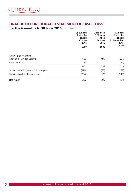### **UNAUDITED CONSOLIDATED STATEMENT OF CASHFLOWS**

**for the 6 months to 30 June 2016 continued**

|                                                                      | <b>Unaudited</b><br>6 Months<br>ended<br>30 June<br>2016<br>£000 | <b>Unaudited</b><br>6 Months<br>ended<br>30 June<br>2015<br>£000 | Audited<br>12 Months<br>ended<br>31 December<br>2015<br>£000 |
|----------------------------------------------------------------------|------------------------------------------------------------------|------------------------------------------------------------------|--------------------------------------------------------------|
| Analysis of net funds:<br>Cash and cash equivalents                  | 667                                                              | 499                                                              | 539                                                          |
|                                                                      |                                                                  |                                                                  |                                                              |
| Bank overdraft                                                       | (6)                                                              |                                                                  | (1)                                                          |
|                                                                      | 661                                                              | 499                                                              | 538                                                          |
| Other borrowing due within one year<br>Borrowings due after one year | (198)<br>(256)                                                   | (78)                                                             | (157)<br>(249)                                               |
|                                                                      |                                                                  | (116)                                                            |                                                              |
| Net funds                                                            | 207                                                              | 305                                                              | 132                                                          |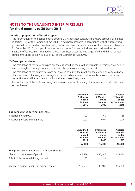

## **NOTES TO THE UNAUDITED INTERIM RESULTS for the 6 months to 30 June 2016**

#### **1) Basis of preparation of interim report**

The information for the period ended 30 June 2016 does not constitute statutory accounts as defined in section 434 of the Companies Act 2006. It has been prepared in accordance with the accounting policies set out in, and is consistent with, the audited financial statements for the twelve months ended 31 December 2015. A copy of the statutory accounts for that period has been delivered to the Registrar of Companies. The auditor's report on those accounts was unqualified and did not contain statements under Section 498 (2) or (3) of the Companies Act 2006.

#### **2) Earnings per share**

The calculation of the basic earnings per share is based on the profit attributable to ordinary shareholders and the weighted average number of ordinary shares in issue during the period.

The calculation of the diluted earnings per share is based on the profit per share attributable to ordinary shareholders and the weighted average number of ordinary shares that would be in issue, assuming conversion of all dilutive potential ordinary shares into ordinary shares.

Reconciliations of the profit and weighted average number of ordinary shares used in the calculation are set out below:

|                                      | <b>Unaudited</b><br>6 Months<br>ended<br>30 June<br>2016 | <b>Unaudited</b><br>6 Months<br>ended<br>30 June<br>2015 | <b>Audited</b><br>12 Months<br>ended<br>31 December<br>2015 |
|--------------------------------------|----------------------------------------------------------|----------------------------------------------------------|-------------------------------------------------------------|
| Basic and diluted earnings per share |                                                          |                                                          |                                                             |
| Reported profit (£000)               | 122                                                      | 60                                                       | 168                                                         |
| Reported profit per share (pence)    | 0.03                                                     | 0.01                                                     | 0.04                                                        |

|                                             | <b>Unaudited</b><br>6 Months<br>ended<br>30 June<br>2016 | <b>Unaudited</b><br>6 Months<br>ended<br>30 June<br>2015 | <b>Audited</b><br>12 Months<br>ended<br>31 December<br>2015 |
|---------------------------------------------|----------------------------------------------------------|----------------------------------------------------------|-------------------------------------------------------------|
|                                             | <b>No.000</b>                                            | No.000                                                   | <b>No.000</b>                                               |
| Weighted average number of ordinary shares: |                                                          |                                                          |                                                             |
| Shares in issue at start of period          | 445,486                                                  | 445,486                                                  | 445,486                                                     |
| Effect of shares issued during the period   | 197                                                      |                                                          |                                                             |
| Weighted average number of ordinary shares  | 445,683                                                  | 445,486                                                  | 445,486                                                     |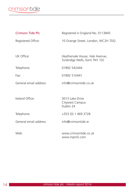**Contract Contract** 

| Crimson Tide Plc       | Registered in England No. 0113845                                |
|------------------------|------------------------------------------------------------------|
| Registered Office:     | 10 Orange Street, London, WC2H 7DQ                               |
|                        |                                                                  |
| UK Office:             | Heathervale House, Vale Avenue,<br>Tunbridge Wells, Kent TN1 1DJ |
| Telephone:             | 01892 542444                                                     |
| Fax:                   | 01892 510441                                                     |
| General email address: | info@crimsontide.co.uk                                           |
|                        |                                                                  |
| Ireland Office:        | 3013 Lake Drive<br>Citywest Campus<br>Dublin 24                  |
| Telephone:             | +353 (0) 1 469 3728                                              |
| General email address: | info@crimsontide.je                                              |
| Web:                   | www.crimsontide.co.uk<br>www.mpro5.com                           |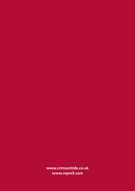**www.crimsontide.co.uk www.mpro5.com**